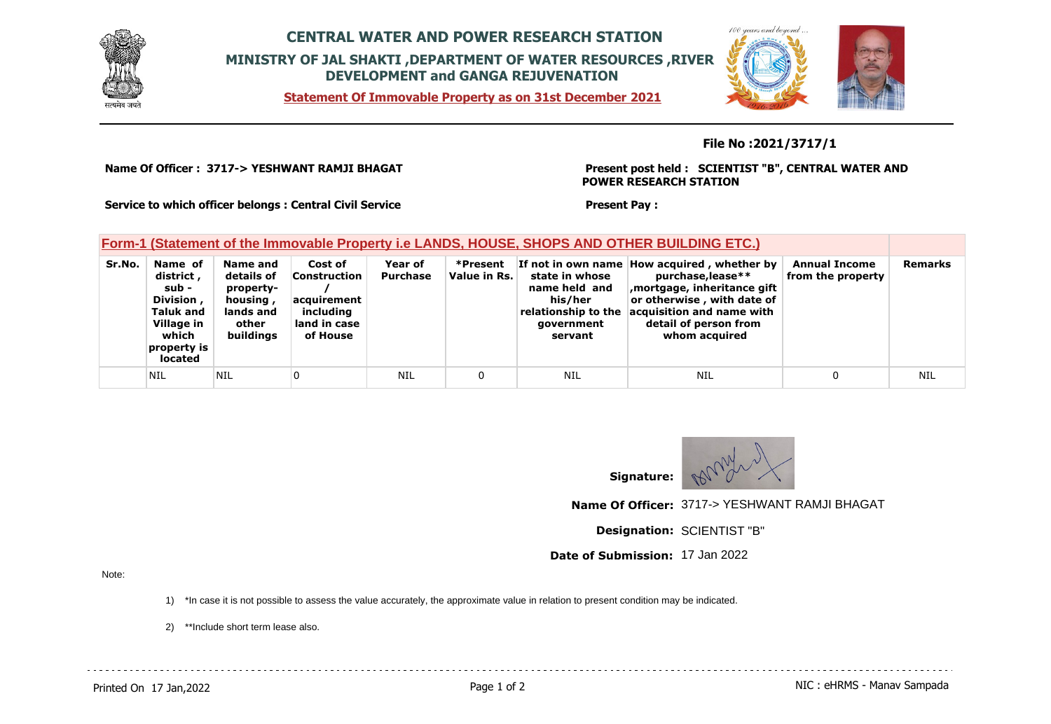

## **CENTRAL WATER AND POWER RESEARCH STATION MINISTRY OF JAL SHAKTI ,DEPARTMENT OF WATER RESOURCES ,RIVER DEVELOPMENT and GANGA REJUVENATION**

**Statement Of Immovable Property as on 31st December 2021**



## **File No :2021/3717/1**

**Name Of Officer : 3717-> YESHWANT RAMJI BHAGAT** 

**Present post held : SCIENTIST "B", CENTRAL WATER AND POWER RESEARCH STATION**

**Service to which officer belongs : Central Civil Service**

## **Form-1 (Statement of the Immovable Property i.e LANDS, HOUSE, SHOPS AND OTHER BUILDING ETC.)**

| Sr.No. | Name of<br>district,<br>sub -<br>Division,<br><b>Taluk and</b><br>Village in<br>which<br>property is<br>located | Name and<br>details of<br>property-<br>housing,<br>lands and<br>other<br>buildings | Cost of<br>Construction<br>acquirement<br>including<br>land in case<br>of House | Year of<br><b>Purchase</b> | *Present<br>Value in Rs. | state in whose<br>name held and<br>his/her<br>relationship to the<br>government<br>servant | If not in own name How acquired, whether by<br>purchase, lease**<br>mortgage, inheritance gift<br>or otherwise, with date of<br>acquisition and name with<br>detail of person from<br>whom acquired | <b>Annual Income</b><br>from the property | <b>Remarks</b> |
|--------|-----------------------------------------------------------------------------------------------------------------|------------------------------------------------------------------------------------|---------------------------------------------------------------------------------|----------------------------|--------------------------|--------------------------------------------------------------------------------------------|-----------------------------------------------------------------------------------------------------------------------------------------------------------------------------------------------------|-------------------------------------------|----------------|
|        | <b>NIL</b>                                                                                                      | 'NIL                                                                               |                                                                                 | NIL                        |                          | NIL                                                                                        | NIL                                                                                                                                                                                                 |                                           | NIL            |



**Name Of Officer:** 3717-> YESHWANT RAMJI BHAGAT

**Designation:** SCIENTIST "B"

**Date of Submission:** 17 Jan 2022

**Present Pay :** 

Note:

1) \*In case it is not possible to assess the value accurately, the approximate value in relation to present condition may be indicated.

2) \*\*Include short term lease also.